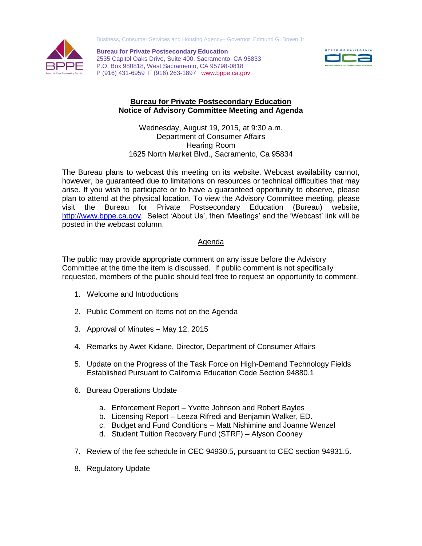Business, Consumer Services and Housing Agency– Governor Edmund G. Brown Jr.



**Bureau for Private Postsecondary Education** 2535 Capitol Oaks Drive, Suite 400, Sacramento, CA 95833 P.O. Box 980818, West Sacramento, CA 95798-0818 P (916) 431-6959 F (916) 263-1897 www.bppe.ca.gov



## **Bureau for Private Postsecondary Education Notice of Advisory Committee Meeting and Agenda**

Wednesday, August 19, 2015, at 9:30 a.m. Department of Consumer Affairs Hearing Room 1625 North Market Blvd., Sacramento, Ca 95834

The Bureau plans to webcast this meeting on its website. Webcast availability cannot, however, be guaranteed due to limitations on resources or technical difficulties that may arise. If you wish to participate or to have a guaranteed opportunity to observe, please plan to attend at the physical location. To view the Advisory Committee meeting, please visit the Bureau for Private Postsecondary Education (Bureau) website, [http://www.bppe.ca.gov.](http://www.bppe.ca.gov/) Select 'About Us', then 'Meetings' and the 'Webcast' link will be posted in the webcast column.

## Agenda

The public may provide appropriate comment on any issue before the Advisory Committee at the time the item is discussed. If public comment is not specifically requested, members of the public should feel free to request an opportunity to comment.

- 1. Welcome and Introductions
- 2. Public Comment on Items not on the Agenda
- 3. Approval of Minutes May 12, 2015
- 4. Remarks by Awet Kidane, Director, Department of Consumer Affairs
- 5. Update on the Progress of the Task Force on High-Demand Technology Fields Established Pursuant to California Education Code Section 94880.1
- 6. Bureau Operations Update
	- a. Enforcement Report Yvette Johnson and Robert Bayles
	- b. Licensing Report Leeza Rifredi and Benjamin Walker, ED.
	- c. Budget and Fund Conditions Matt Nishimine and Joanne Wenzel
	- d. Student Tuition Recovery Fund (STRF) Alyson Cooney
- 7. Review of the fee schedule in CEC 94930.5, pursuant to CEC section 94931.5.
- 8. Regulatory Update